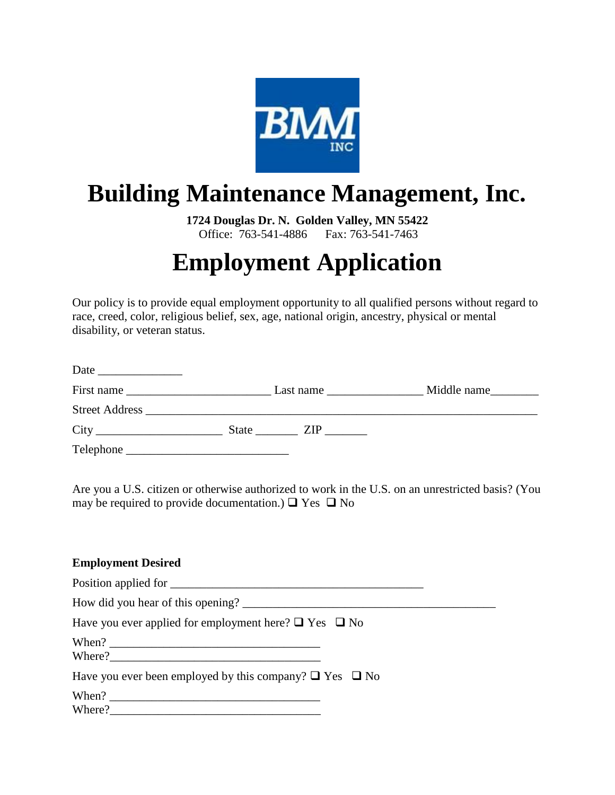

## **Building Maintenance Management, Inc.**

**1724 Douglas Dr. N. Golden Valley, MN 55422** Office: 763-541-4886 Fax: 763-541-7463

# **Employment Application**

Our policy is to provide equal employment opportunity to all qualified persons without regard to race, creed, color, religious belief, sex, age, national origin, ancestry, physical or mental disability, or veteran status.

| Date<br><u> 1980 - Jan Barbarat, politik eta politik eta politik eta politik eta politik eta politik eta politik eta poli</u> |                                                                                                |             |
|-------------------------------------------------------------------------------------------------------------------------------|------------------------------------------------------------------------------------------------|-------------|
|                                                                                                                               | Last name $\frac{1}{\sqrt{1-\frac{1}{2}}}\left\vert \frac{1}{\sqrt{1-\frac{1}{2}}}\right\vert$ | Middle name |
|                                                                                                                               |                                                                                                |             |
|                                                                                                                               |                                                                                                |             |
| Telephone                                                                                                                     |                                                                                                |             |

Are you a U.S. citizen or otherwise authorized to work in the U.S. on an unrestricted basis? (You may be required to provide documentation.)  $\Box$  Yes  $\Box$  No

#### **Employment Desired**

| Position applied for                                              |
|-------------------------------------------------------------------|
|                                                                   |
| Have you ever applied for employment here? $\Box$ Yes $\Box$ No   |
| Where?                                                            |
| Have you ever been employed by this company? $\Box$ Yes $\Box$ No |
| Where?                                                            |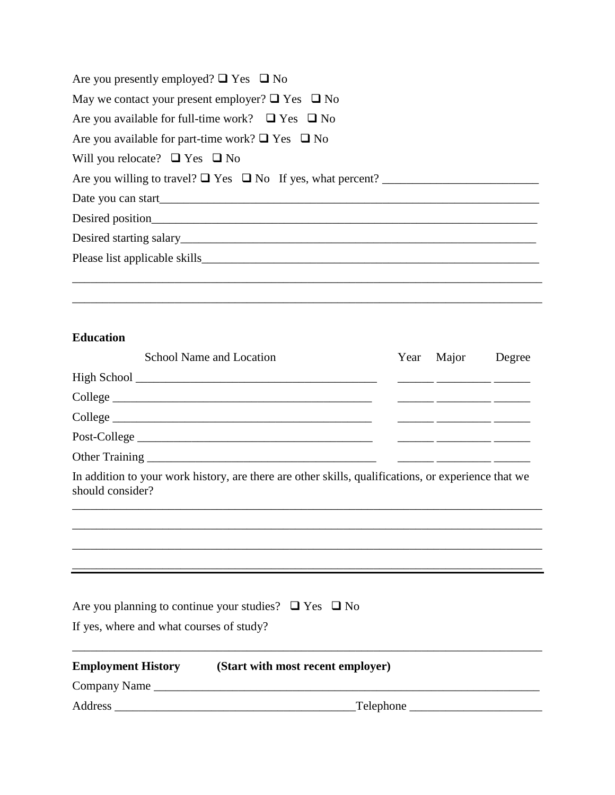| Are you presently employed? $\Box$ Yes $\Box$ No           |
|------------------------------------------------------------|
| May we contact your present employer? $\Box$ Yes $\Box$ No |
| Are you available for full-time work? $\Box$ Yes $\Box$ No |
| Are you available for part-time work? $\Box$ Yes $\Box$ No |
| Will you relocate? $\Box$ Yes $\Box$ No                    |
|                                                            |
|                                                            |
|                                                            |
|                                                            |
|                                                            |
|                                                            |
|                                                            |

#### **Education**

|                | School Name and Location |  | Year Major | Degree |
|----------------|--------------------------|--|------------|--------|
|                |                          |  |            |        |
|                | College                  |  |            |        |
|                |                          |  |            |        |
|                | Post-College             |  |            |        |
| Other Training |                          |  |            |        |

In addition to your work history, are there are other skills, qualifications, or experience that we should consider?

\_\_\_\_\_\_\_\_\_\_\_\_\_\_\_\_\_\_\_\_\_\_\_\_\_\_\_\_\_\_\_\_\_\_\_\_\_\_\_\_\_\_\_\_\_\_\_\_\_\_\_\_\_\_\_\_\_\_\_\_\_\_\_\_\_\_\_\_\_\_\_\_\_\_\_\_\_\_ \_\_\_\_\_\_\_\_\_\_\_\_\_\_\_\_\_\_\_\_\_\_\_\_\_\_\_\_\_\_\_\_\_\_\_\_\_\_\_\_\_\_\_\_\_\_\_\_\_\_\_\_\_\_\_\_\_\_\_\_\_\_\_\_\_\_\_\_\_\_\_\_\_\_\_\_\_\_ \_\_\_\_\_\_\_\_\_\_\_\_\_\_\_\_\_\_\_\_\_\_\_\_\_\_\_\_\_\_\_\_\_\_\_\_\_\_\_\_\_\_\_\_\_\_\_\_\_\_\_\_\_\_\_\_\_\_\_\_\_\_\_\_\_\_\_\_\_\_\_\_\_\_\_\_\_\_ \_\_\_\_\_\_\_\_\_\_\_\_\_\_\_\_\_\_\_\_\_\_\_\_\_\_\_\_\_\_\_\_\_\_\_\_\_\_\_\_\_\_\_\_\_\_\_\_\_\_\_\_\_\_\_\_\_\_\_\_\_\_\_\_\_\_\_\_\_\_\_\_\_\_\_\_\_\_

|                                          | Are you planning to continue your studies? $\Box$ Yes $\Box$ No |  |
|------------------------------------------|-----------------------------------------------------------------|--|
| If yes, where and what courses of study? |                                                                 |  |
| <b>Employment History</b>                | (Start with most recent employer)                               |  |
|                                          |                                                                 |  |
|                                          | $\Box$ Telephone $\Box$                                         |  |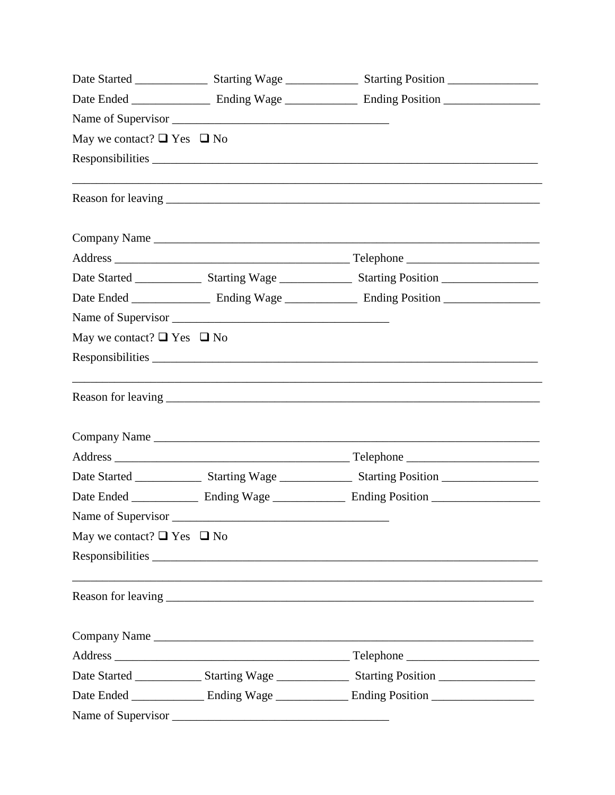| May we contact? $\Box$ Yes $\Box$ No |                                                                                                                |  |
|--------------------------------------|----------------------------------------------------------------------------------------------------------------|--|
|                                      |                                                                                                                |  |
|                                      |                                                                                                                |  |
|                                      | Company Name                                                                                                   |  |
|                                      |                                                                                                                |  |
|                                      | Date Started ____________________ Starting Wage ____________________ Starting Position _______________________ |  |
|                                      |                                                                                                                |  |
|                                      |                                                                                                                |  |
| May we contact? $\Box$ Yes $\Box$ No |                                                                                                                |  |
|                                      |                                                                                                                |  |
|                                      |                                                                                                                |  |
|                                      |                                                                                                                |  |
|                                      |                                                                                                                |  |
|                                      | Date Started ___________________ Starting Wage ___________________ Starting Position _________________________ |  |
|                                      |                                                                                                                |  |
| Name of Supervisor                   |                                                                                                                |  |
| May we contact? $\Box$ Yes $\Box$ No |                                                                                                                |  |
|                                      |                                                                                                                |  |
|                                      |                                                                                                                |  |
|                                      |                                                                                                                |  |
|                                      |                                                                                                                |  |
|                                      | Date Started __________________ Starting Wage ____________________ Starting Position _________________________ |  |
|                                      | Date Ended _______________ Ending Wage ______________ Ending Position ________________                         |  |
|                                      |                                                                                                                |  |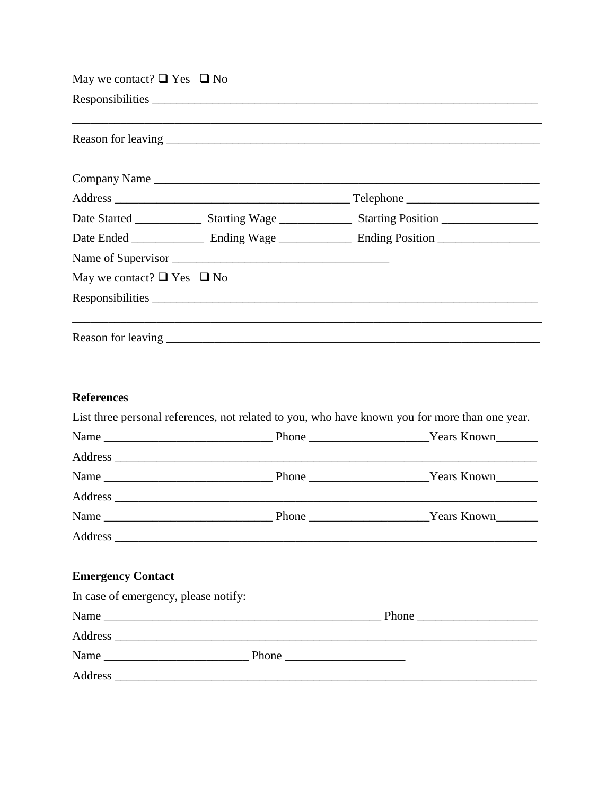| May we contact? $\Box$ Yes $\Box$ No |                  |                                                                                                |
|--------------------------------------|------------------|------------------------------------------------------------------------------------------------|
|                                      |                  |                                                                                                |
|                                      |                  |                                                                                                |
|                                      |                  |                                                                                                |
|                                      |                  |                                                                                                |
|                                      |                  |                                                                                                |
|                                      |                  |                                                                                                |
|                                      |                  |                                                                                                |
| May we contact? $\Box$ Yes $\Box$ No |                  |                                                                                                |
|                                      | Responsibilities |                                                                                                |
|                                      |                  |                                                                                                |
| <b>References</b>                    |                  |                                                                                                |
|                                      |                  | List three personal references, not related to you, who have known you for more than one year. |
|                                      |                  |                                                                                                |
|                                      |                  |                                                                                                |
|                                      |                  |                                                                                                |
|                                      |                  |                                                                                                |
|                                      |                  |                                                                                                |
|                                      |                  |                                                                                                |

### **Emergency Contact**

| In case of emergency, please notify: |  |  |  |
|--------------------------------------|--|--|--|
|                                      |  |  |  |
|                                      |  |  |  |
|                                      |  |  |  |
|                                      |  |  |  |